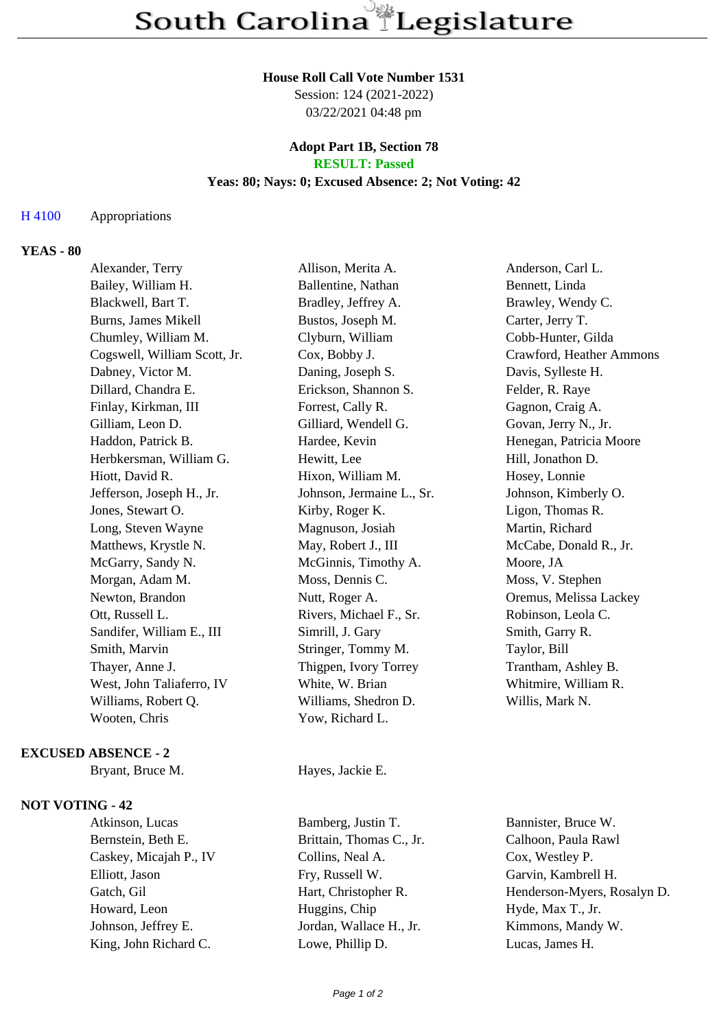### **House Roll Call Vote Number 1531**

Session: 124 (2021-2022) 03/22/2021 04:48 pm

#### **Adopt Part 1B, Section 78 RESULT: Passed**

### **Yeas: 80; Nays: 0; Excused Absence: 2; Not Voting: 42**

## H 4100 Appropriations

# **YEAS - 80**

| Alexander, Terry             | Allison, Merita A.        | Anderson, Carl L.        |
|------------------------------|---------------------------|--------------------------|
| Bailey, William H.           | Ballentine, Nathan        | Bennett, Linda           |
| Blackwell, Bart T.           | Bradley, Jeffrey A.       | Brawley, Wendy C.        |
| Burns, James Mikell          | Bustos, Joseph M.         | Carter, Jerry T.         |
| Chumley, William M.          | Clyburn, William          | Cobb-Hunter, Gilda       |
| Cogswell, William Scott, Jr. | Cox, Bobby J.             | Crawford, Heather Ammons |
| Dabney, Victor M.            | Daning, Joseph S.         | Davis, Sylleste H.       |
| Dillard, Chandra E.          | Erickson, Shannon S.      | Felder, R. Raye          |
| Finlay, Kirkman, III         | Forrest, Cally R.         | Gagnon, Craig A.         |
| Gilliam, Leon D.             | Gilliard, Wendell G.      | Govan, Jerry N., Jr.     |
| Haddon, Patrick B.           | Hardee, Kevin             | Henegan, Patricia Moore  |
| Herbkersman, William G.      | Hewitt, Lee               | Hill, Jonathon D.        |
| Hiott, David R.              | Hixon, William M.         | Hosey, Lonnie            |
| Jefferson, Joseph H., Jr.    | Johnson, Jermaine L., Sr. | Johnson, Kimberly O.     |
| Jones, Stewart O.            | Kirby, Roger K.           | Ligon, Thomas R.         |
| Long, Steven Wayne           | Magnuson, Josiah          | Martin, Richard          |
| Matthews, Krystle N.         | May, Robert J., III       | McCabe, Donald R., Jr.   |
| McGarry, Sandy N.            | McGinnis, Timothy A.      | Moore, JA                |
| Morgan, Adam M.              | Moss, Dennis C.           | Moss, V. Stephen         |
| Newton, Brandon              | Nutt, Roger A.            | Oremus, Melissa Lackey   |
| Ott, Russell L.              | Rivers, Michael F., Sr.   | Robinson, Leola C.       |
| Sandifer, William E., III    | Simrill, J. Gary          | Smith, Garry R.          |
| Smith, Marvin                | Stringer, Tommy M.        | Taylor, Bill             |
| Thayer, Anne J.              | Thigpen, Ivory Torrey     | Trantham, Ashley B.      |
| West, John Taliaferro, IV    | White, W. Brian           | Whitmire, William R.     |
| Williams, Robert Q.          | Williams, Shedron D.      | Willis, Mark N.          |
| Wooten, Chris                | Yow, Richard L.           |                          |
|                              |                           |                          |

# **EXCUSED ABSENCE - 2**

## **NOT VOTING - 42**

Bryant, Bruce M. Hayes, Jackie E.

Bernstein, Beth E. Brittain, Thomas C., Jr. Calhoon, Paula Rawl Caskey, Micajah P., IV Collins, Neal A. Cox, Westley P. Elliott, Jason Fry, Russell W. Garvin, Kambrell H. Howard, Leon Huggins, Chip Hyde, Max T., Jr. Johnson, Jeffrey E. Jordan, Wallace H., Jr. Kimmons, Mandy W. King, John Richard C. Lowe, Phillip D. Lucas, James H.

Atkinson, Lucas Bamberg, Justin T. Bannister, Bruce W. Gatch, Gil Hart, Christopher R. Henderson-Myers, Rosalyn D.